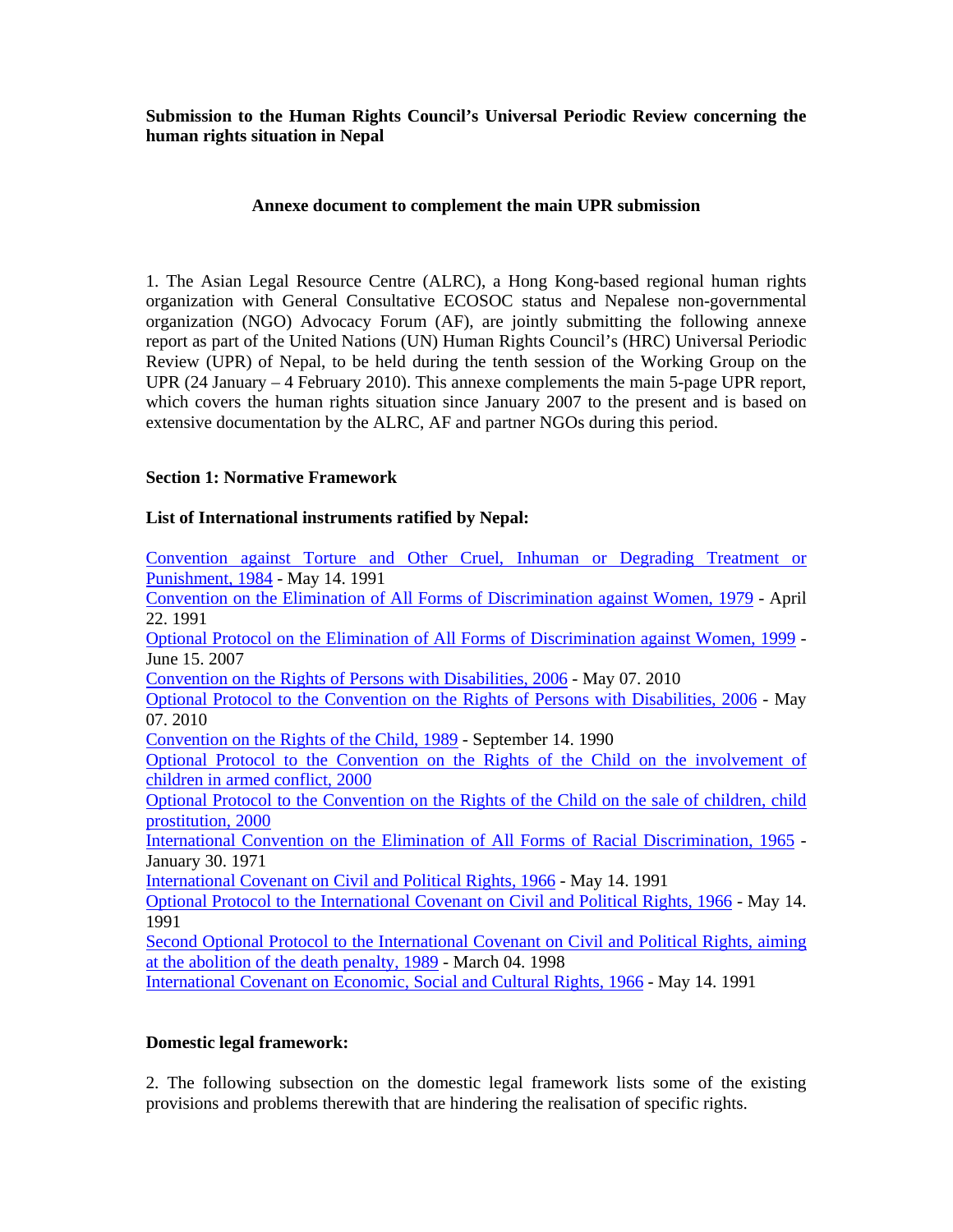**Submission to the Human Rights Council's Universal Periodic Review concerning the human rights situation in Nepal** 

## **Annexe document to complement the main UPR submission**

1. The Asian Legal Resource Centre (ALRC), a Hong Kong-based regional human rights organization with General Consultative ECOSOC status and Nepalese non-governmental organization (NGO) Advocacy Forum (AF), are jointly submitting the following annexe report as part of the United Nations (UN) Human Rights Council's (HRC) Universal Periodic Review (UPR) of Nepal, to be held during the tenth session of the Working Group on the UPR (24 January – 4 February 2010). This annexe complements the main 5-page UPR report, which covers the human rights situation since January 2007 to the present and is based on extensive documentation by the ALRC, AF and partner NGOs during this period.

## **Section 1: Normative Framework**

# **List of International instruments ratified by Nepal:**

Convention against Torture and Other Cruel, Inhuman or Degrading Treatment or Punishment, 1984 - May 14. 1991 Convention on the Elimination of All Forms of Discrimination against Women, 1979 - April 22. 1991 Optional Protocol on the Elimination of All Forms of Discrimination against Women, 1999 - June 15. 2007 Convention on the Rights of Persons with Disabilities, 2006 - May 07. 2010 Optional Protocol to the Convention on the Rights of Persons with Disabilities, 2006 - May 07. 2010 Convention on the Rights of the Child, 1989 - September 14. 1990 Optional Protocol to the Convention on the Rights of the Child on the involvement of children in armed conflict, 2000 Optional Protocol to the Convention on the Rights of the Child on the sale of children, child prostitution, 2000 International Convention on the Elimination of All Forms of Racial Discrimination, 1965 - January 30. 1971 International Covenant on Civil and Political Rights, 1966 - May 14. 1991 Optional Protocol to the International Covenant on Civil and Political Rights, 1966 - May 14. 1991 Second Optional Protocol to the International Covenant on Civil and Political Rights, aiming at the abolition of the death penalty, 1989 - March 04. 1998 International Covenant on Economic, Social and Cultural Rights, 1966 - May 14. 1991

# **Domestic legal framework:**

2. The following subsection on the domestic legal framework lists some of the existing provisions and problems therewith that are hindering the realisation of specific rights.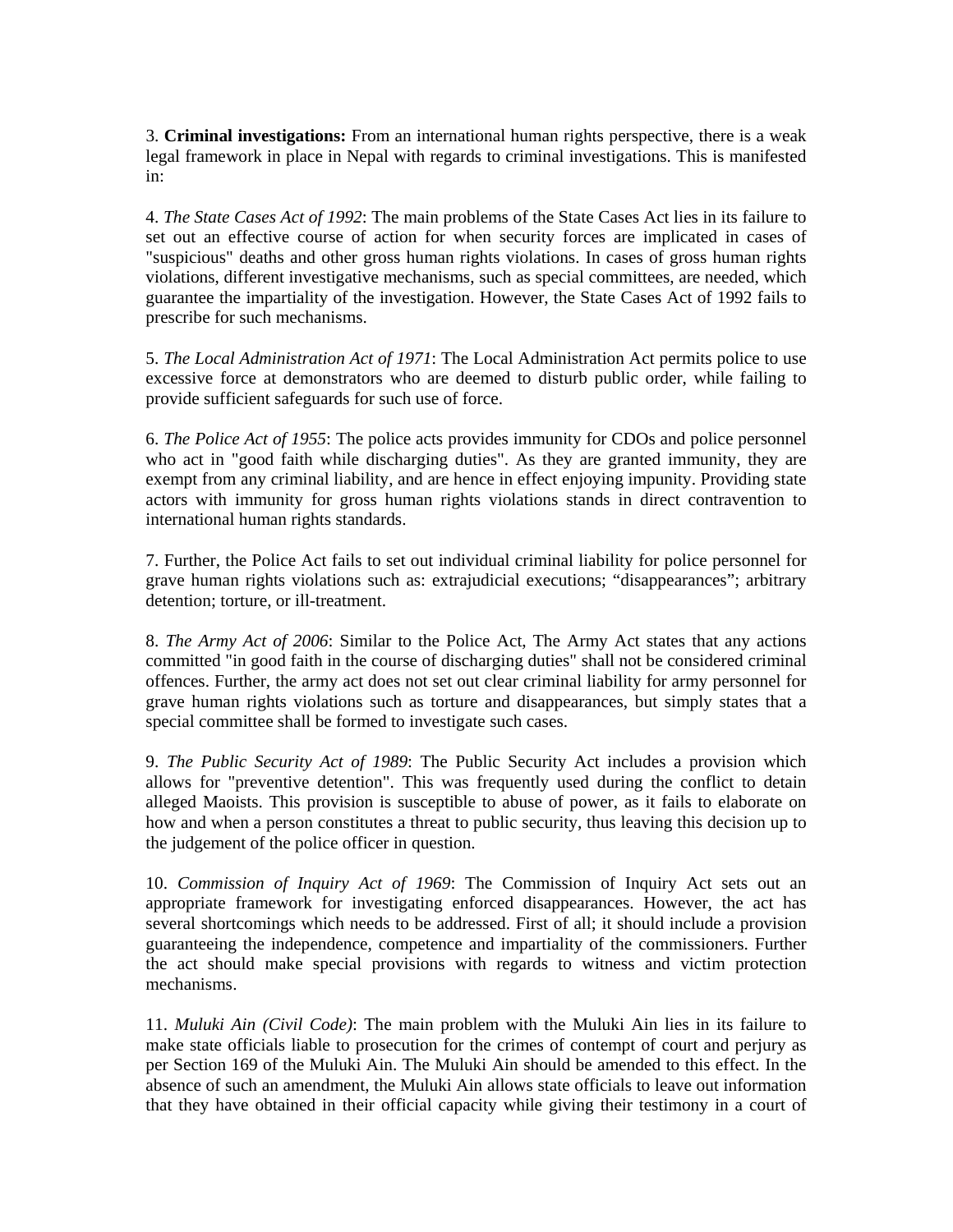3. **Criminal investigations:** From an international human rights perspective, there is a weak legal framework in place in Nepal with regards to criminal investigations. This is manifested in:

4. *The State Cases Act of 1992*: The main problems of the State Cases Act lies in its failure to set out an effective course of action for when security forces are implicated in cases of "suspicious" deaths and other gross human rights violations. In cases of gross human rights violations, different investigative mechanisms, such as special committees, are needed, which guarantee the impartiality of the investigation. However, the State Cases Act of 1992 fails to prescribe for such mechanisms.

5. *The Local Administration Act of 1971*: The Local Administration Act permits police to use excessive force at demonstrators who are deemed to disturb public order, while failing to provide sufficient safeguards for such use of force.

6. *The Police Act of 1955*: The police acts provides immunity for CDOs and police personnel who act in "good faith while discharging duties". As they are granted immunity, they are exempt from any criminal liability, and are hence in effect enjoying impunity. Providing state actors with immunity for gross human rights violations stands in direct contravention to international human rights standards.

7. Further, the Police Act fails to set out individual criminal liability for police personnel for grave human rights violations such as: extrajudicial executions; "disappearances"; arbitrary detention; torture, or ill-treatment.

8. *The Army Act of 2006*: Similar to the Police Act, The Army Act states that any actions committed "in good faith in the course of discharging duties" shall not be considered criminal offences. Further, the army act does not set out clear criminal liability for army personnel for grave human rights violations such as torture and disappearances, but simply states that a special committee shall be formed to investigate such cases.

9. *The Public Security Act of 1989*: The Public Security Act includes a provision which allows for "preventive detention". This was frequently used during the conflict to detain alleged Maoists. This provision is susceptible to abuse of power, as it fails to elaborate on how and when a person constitutes a threat to public security, thus leaving this decision up to the judgement of the police officer in question.

10. *Commission of Inquiry Act of 1969*: The Commission of Inquiry Act sets out an appropriate framework for investigating enforced disappearances. However, the act has several shortcomings which needs to be addressed. First of all; it should include a provision guaranteeing the independence, competence and impartiality of the commissioners. Further the act should make special provisions with regards to witness and victim protection mechanisms.

11. *Muluki Ain (Civil Code)*: The main problem with the Muluki Ain lies in its failure to make state officials liable to prosecution for the crimes of contempt of court and perjury as per Section 169 of the Muluki Ain. The Muluki Ain should be amended to this effect. In the absence of such an amendment, the Muluki Ain allows state officials to leave out information that they have obtained in their official capacity while giving their testimony in a court of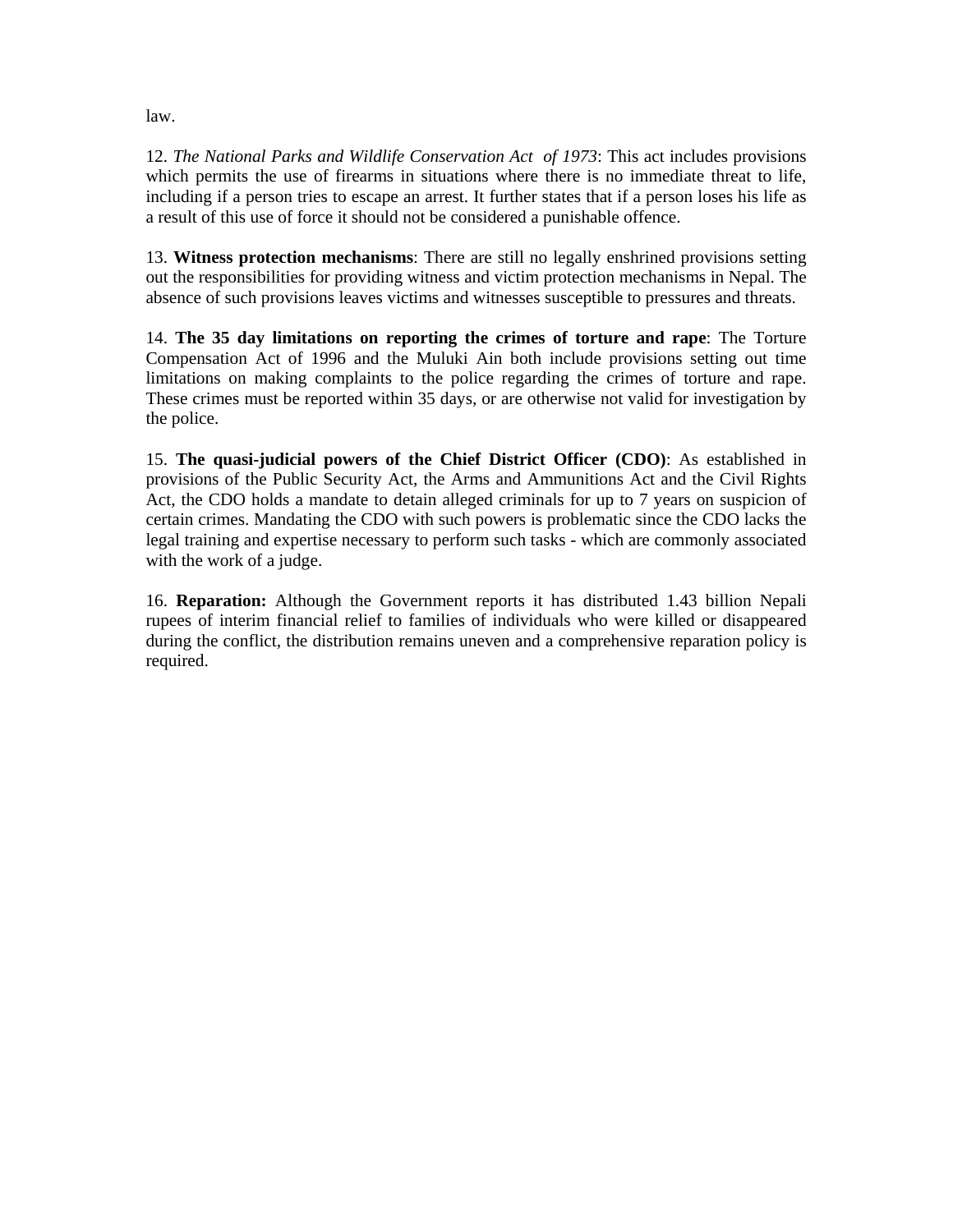law.

12. *The National Parks and Wildlife Conservation Act of 1973*: This act includes provisions which permits the use of firearms in situations where there is no immediate threat to life, including if a person tries to escape an arrest. It further states that if a person loses his life as a result of this use of force it should not be considered a punishable offence.

13. **Witness protection mechanisms**: There are still no legally enshrined provisions setting out the responsibilities for providing witness and victim protection mechanisms in Nepal. The absence of such provisions leaves victims and witnesses susceptible to pressures and threats.

14. **The 35 day limitations on reporting the crimes of torture and rape**: The Torture Compensation Act of 1996 and the Muluki Ain both include provisions setting out time limitations on making complaints to the police regarding the crimes of torture and rape. These crimes must be reported within 35 days, or are otherwise not valid for investigation by the police.

15. **The quasi-judicial powers of the Chief District Officer (CDO)**: As established in provisions of the Public Security Act, the Arms and Ammunitions Act and the Civil Rights Act, the CDO holds a mandate to detain alleged criminals for up to 7 years on suspicion of certain crimes. Mandating the CDO with such powers is problematic since the CDO lacks the legal training and expertise necessary to perform such tasks - which are commonly associated with the work of a judge.

16. **Reparation:** Although the Government reports it has distributed 1.43 billion Nepali rupees of interim financial relief to families of individuals who were killed or disappeared during the conflict, the distribution remains uneven and a comprehensive reparation policy is required.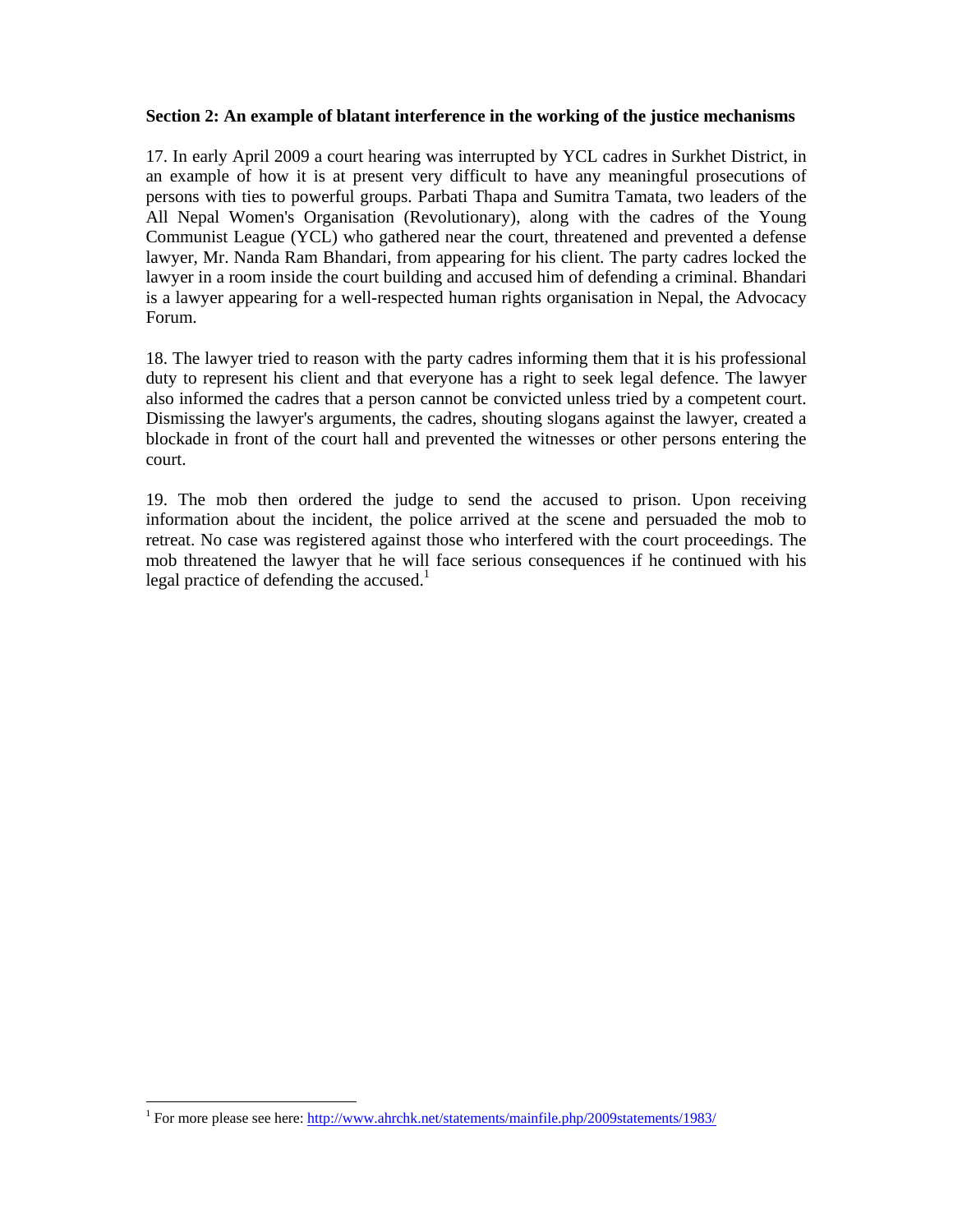## **Section 2: An example of blatant interference in the working of the justice mechanisms**

17. In early April 2009 a court hearing was interrupted by YCL cadres in Surkhet District, in an example of how it is at present very difficult to have any meaningful prosecutions of persons with ties to powerful groups. Parbati Thapa and Sumitra Tamata, two leaders of the All Nepal Women's Organisation (Revolutionary), along with the cadres of the Young Communist League (YCL) who gathered near the court, threatened and prevented a defense lawyer, Mr. Nanda Ram Bhandari, from appearing for his client. The party cadres locked the lawyer in a room inside the court building and accused him of defending a criminal. Bhandari is a lawyer appearing for a well-respected human rights organisation in Nepal, the Advocacy Forum.

18. The lawyer tried to reason with the party cadres informing them that it is his professional duty to represent his client and that everyone has a right to seek legal defence. The lawyer also informed the cadres that a person cannot be convicted unless tried by a competent court. Dismissing the lawyer's arguments, the cadres, shouting slogans against the lawyer, created a blockade in front of the court hall and prevented the witnesses or other persons entering the court.

19. The mob then ordered the judge to send the accused to prison. Upon receiving information about the incident, the police arrived at the scene and persuaded the mob to retreat. No case was registered against those who interfered with the court proceedings. The mob threatened the lawyer that he will face serious consequences if he continued with his legal practice of defending the accused.<sup>1</sup>

 <sup>1</sup> For more please see here: http://www.ahrchk.net/statements/mainfile.php/2009statements/1983/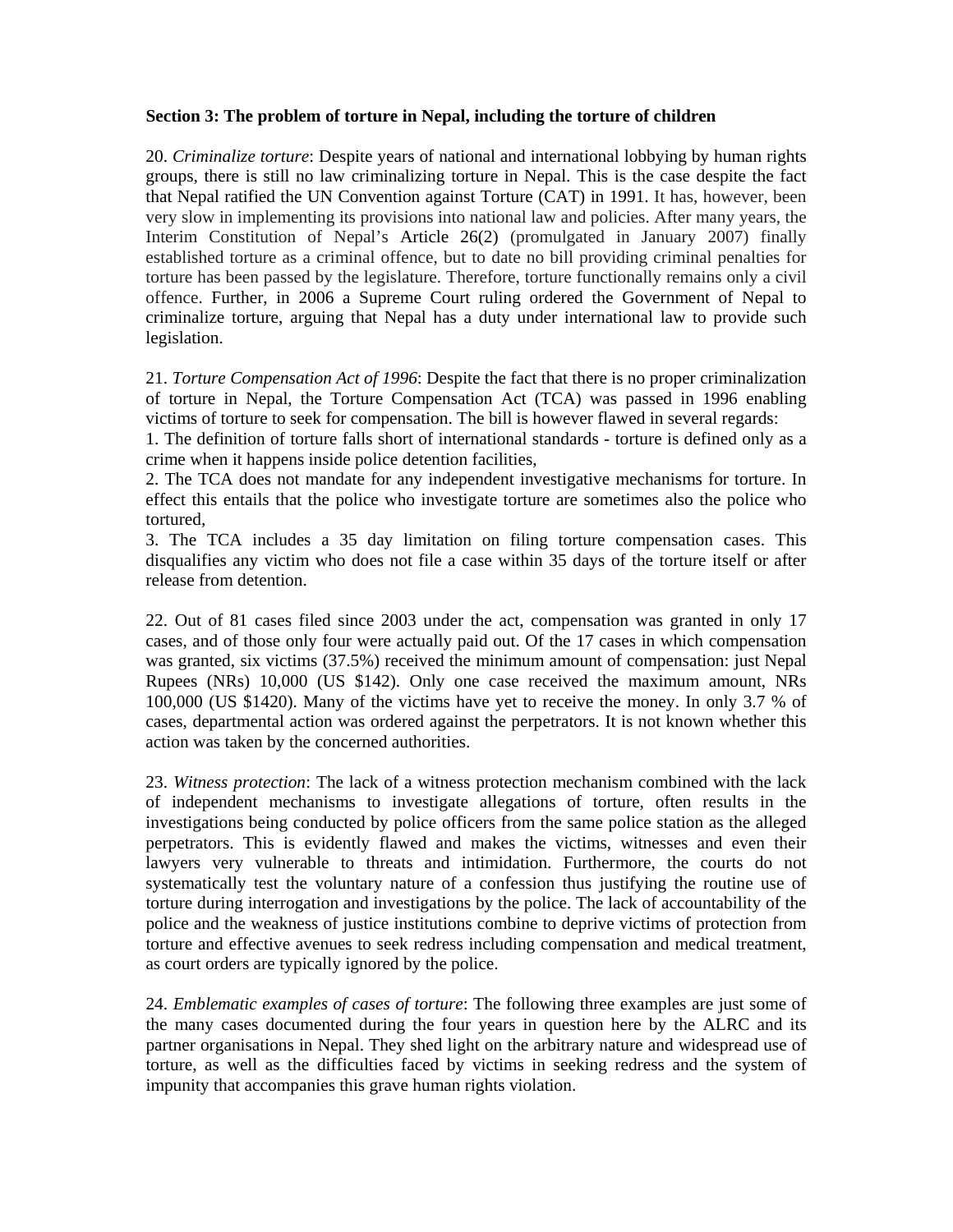## **Section 3: The problem of torture in Nepal, including the torture of children**

20. *Criminalize torture*: Despite years of national and international lobbying by human rights groups, there is still no law criminalizing torture in Nepal. This is the case despite the fact that Nepal ratified the UN Convention against Torture (CAT) in 1991. It has, however, been very slow in implementing its provisions into national law and policies. After many years, the Interim Constitution of Nepal's Article 26(2) (promulgated in January 2007) finally established torture as a criminal offence, but to date no bill providing criminal penalties for torture has been passed by the legislature. Therefore, torture functionally remains only a civil offence. Further, in 2006 a Supreme Court ruling ordered the Government of Nepal to criminalize torture, arguing that Nepal has a duty under international law to provide such legislation.

21. *Torture Compensation Act of 1996*: Despite the fact that there is no proper criminalization of torture in Nepal, the Torture Compensation Act (TCA) was passed in 1996 enabling victims of torture to seek for compensation. The bill is however flawed in several regards:

1. The definition of torture falls short of international standards - torture is defined only as a crime when it happens inside police detention facilities,

2. The TCA does not mandate for any independent investigative mechanisms for torture. In effect this entails that the police who investigate torture are sometimes also the police who tortured,

3. The TCA includes a 35 day limitation on filing torture compensation cases. This disqualifies any victim who does not file a case within 35 days of the torture itself or after release from detention.

22. Out of 81 cases filed since 2003 under the act, compensation was granted in only 17 cases, and of those only four were actually paid out. Of the 17 cases in which compensation was granted, six victims (37.5%) received the minimum amount of compensation: just Nepal Rupees (NRs) 10,000 (US \$142). Only one case received the maximum amount, NRs 100,000 (US \$1420). Many of the victims have yet to receive the money. In only 3.7 % of cases, departmental action was ordered against the perpetrators. It is not known whether this action was taken by the concerned authorities.

23. *Witness protection*: The lack of a witness protection mechanism combined with the lack of independent mechanisms to investigate allegations of torture, often results in the investigations being conducted by police officers from the same police station as the alleged perpetrators. This is evidently flawed and makes the victims, witnesses and even their lawyers very vulnerable to threats and intimidation. Furthermore, the courts do not systematically test the voluntary nature of a confession thus justifying the routine use of torture during interrogation and investigations by the police. The lack of accountability of the police and the weakness of justice institutions combine to deprive victims of protection from torture and effective avenues to seek redress including compensation and medical treatment, as court orders are typically ignored by the police.

24. *Emblematic examples of cases of torture*: The following three examples are just some of the many cases documented during the four years in question here by the ALRC and its partner organisations in Nepal. They shed light on the arbitrary nature and widespread use of torture, as well as the difficulties faced by victims in seeking redress and the system of impunity that accompanies this grave human rights violation.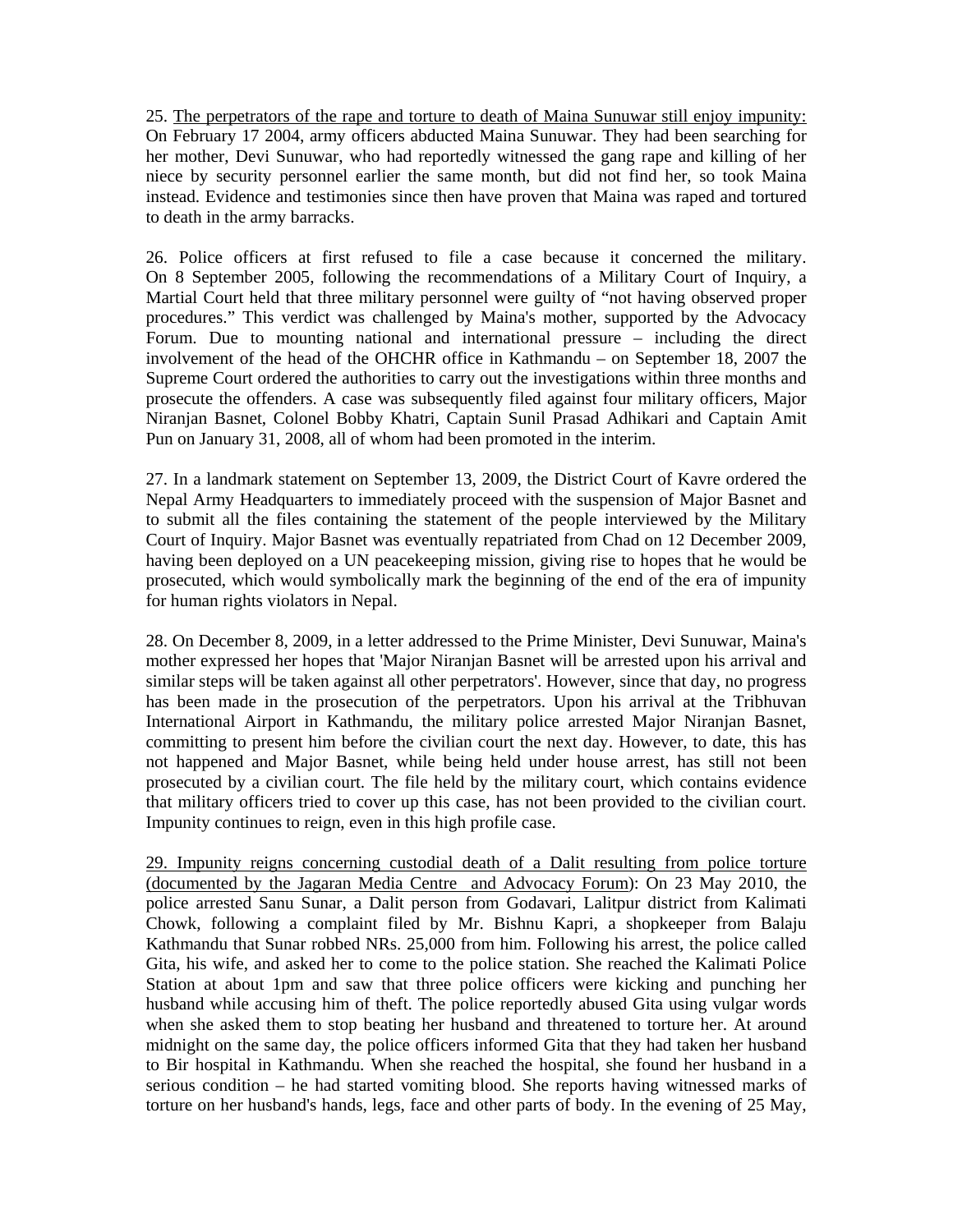25. The perpetrators of the rape and torture to death of Maina Sunuwar still enjoy impunity: On February 17 2004, army officers abducted Maina Sunuwar. They had been searching for her mother, Devi Sunuwar, who had reportedly witnessed the gang rape and killing of her niece by security personnel earlier the same month, but did not find her, so took Maina instead. Evidence and testimonies since then have proven that Maina was raped and tortured to death in the army barracks.

26. Police officers at first refused to file a case because it concerned the military. On 8 September 2005, following the recommendations of a Military Court of Inquiry, a Martial Court held that three military personnel were guilty of "not having observed proper procedures." This verdict was challenged by Maina's mother, supported by the Advocacy Forum. Due to mounting national and international pressure – including the direct involvement of the head of the OHCHR office in Kathmandu – on September 18, 2007 the Supreme Court ordered the authorities to carry out the investigations within three months and prosecute the offenders. A case was subsequently filed against four military officers, Major Niranjan Basnet, Colonel Bobby Khatri, Captain Sunil Prasad Adhikari and Captain Amit Pun on January 31, 2008, all of whom had been promoted in the interim.

27. In a landmark statement on September 13, 2009, the District Court of Kavre ordered the Nepal Army Headquarters to immediately proceed with the suspension of Major Basnet and to submit all the files containing the statement of the people interviewed by the Military Court of Inquiry. Major Basnet was eventually repatriated from Chad on 12 December 2009, having been deployed on a UN peacekeeping mission, giving rise to hopes that he would be prosecuted, which would symbolically mark the beginning of the end of the era of impunity for human rights violators in Nepal.

28. On December 8, 2009, in a letter addressed to the Prime Minister, Devi Sunuwar, Maina's mother expressed her hopes that 'Major Niranjan Basnet will be arrested upon his arrival and similar steps will be taken against all other perpetrators'. However, since that day, no progress has been made in the prosecution of the perpetrators. Upon his arrival at the Tribhuvan International Airport in Kathmandu, the military police arrested Major Niranjan Basnet, committing to present him before the civilian court the next day. However, to date, this has not happened and Major Basnet, while being held under house arrest, has still not been prosecuted by a civilian court. The file held by the military court, which contains evidence that military officers tried to cover up this case, has not been provided to the civilian court. Impunity continues to reign, even in this high profile case.

29. Impunity reigns concerning custodial death of a Dalit resulting from police torture (documented by the Jagaran Media Centre and Advocacy Forum): On 23 May 2010, the police arrested Sanu Sunar, a Dalit person from Godavari, Lalitpur district from Kalimati Chowk, following a complaint filed by Mr. Bishnu Kapri, a shopkeeper from Balaju Kathmandu that Sunar robbed NRs. 25,000 from him. Following his arrest, the police called Gita, his wife, and asked her to come to the police station. She reached the Kalimati Police Station at about 1pm and saw that three police officers were kicking and punching her husband while accusing him of theft. The police reportedly abused Gita using vulgar words when she asked them to stop beating her husband and threatened to torture her. At around midnight on the same day, the police officers informed Gita that they had taken her husband to Bir hospital in Kathmandu. When she reached the hospital, she found her husband in a serious condition – he had started vomiting blood. She reports having witnessed marks of torture on her husband's hands, legs, face and other parts of body. In the evening of 25 May,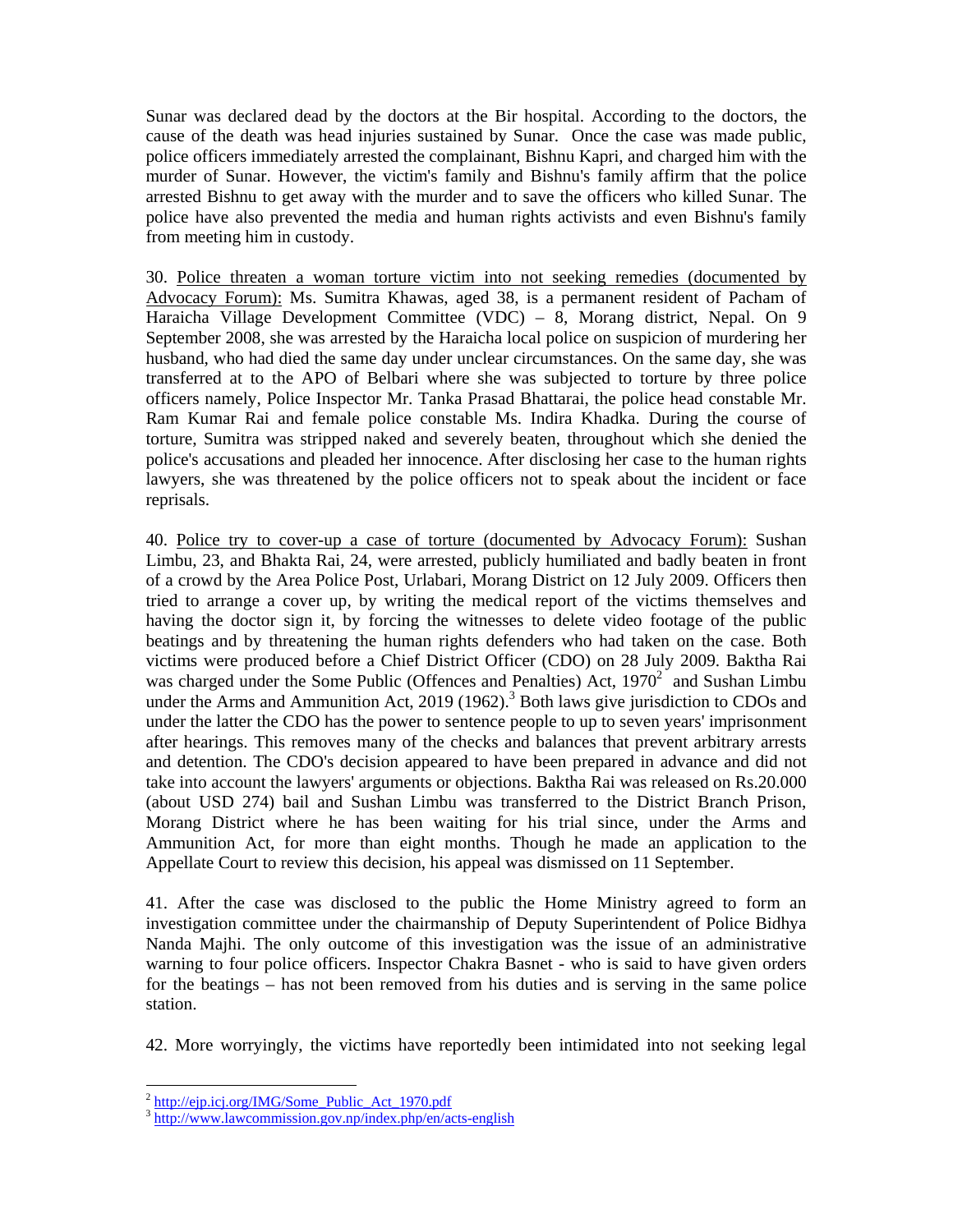Sunar was declared dead by the doctors at the Bir hospital. According to the doctors, the cause of the death was head injuries sustained by Sunar. Once the case was made public, police officers immediately arrested the complainant, Bishnu Kapri, and charged him with the murder of Sunar. However, the victim's family and Bishnu's family affirm that the police arrested Bishnu to get away with the murder and to save the officers who killed Sunar. The police have also prevented the media and human rights activists and even Bishnu's family from meeting him in custody.

30. Police threaten a woman torture victim into not seeking remedies (documented by Advocacy Forum): Ms. Sumitra Khawas, aged 38, is a permanent resident of Pacham of Haraicha Village Development Committee (VDC) – 8, Morang district, Nepal. On 9 September 2008, she was arrested by the Haraicha local police on suspicion of murdering her husband, who had died the same day under unclear circumstances. On the same day, she was transferred at to the APO of Belbari where she was subjected to torture by three police officers namely, Police Inspector Mr. Tanka Prasad Bhattarai, the police head constable Mr. Ram Kumar Rai and female police constable Ms. Indira Khadka. During the course of torture, Sumitra was stripped naked and severely beaten, throughout which she denied the police's accusations and pleaded her innocence. After disclosing her case to the human rights lawyers, she was threatened by the police officers not to speak about the incident or face reprisals.

40. Police try to cover-up a case of torture (documented by Advocacy Forum): Sushan Limbu, 23, and Bhakta Rai, 24, were arrested, publicly humiliated and badly beaten in front of a crowd by the Area Police Post, Urlabari, Morang District on 12 July 2009. Officers then tried to arrange a cover up, by writing the medical report of the victims themselves and having the doctor sign it, by forcing the witnesses to delete video footage of the public beatings and by threatening the human rights defenders who had taken on the case. Both victims were produced before a Chief District Officer (CDO) on 28 July 2009. Baktha Rai was charged under the Some Public (Offences and Penalties) Act,  $1970<sup>2</sup>$  and Sushan Limbu under the Arms and Ammunition Act, 2019 (1962).<sup>3</sup> Both laws give jurisdiction to CDOs and under the latter the CDO has the power to sentence people to up to seven years' imprisonment after hearings. This removes many of the checks and balances that prevent arbitrary arrests and detention. The CDO's decision appeared to have been prepared in advance and did not take into account the lawyers' arguments or objections. Baktha Rai was released on Rs.20.000 (about USD 274) bail and Sushan Limbu was transferred to the District Branch Prison, Morang District where he has been waiting for his trial since, under the Arms and Ammunition Act, for more than eight months. Though he made an application to the Appellate Court to review this decision, his appeal was dismissed on 11 September.

41. After the case was disclosed to the public the Home Ministry agreed to form an investigation committee under the chairmanship of Deputy Superintendent of Police Bidhya Nanda Majhi. The only outcome of this investigation was the issue of an administrative warning to four police officers. Inspector Chakra Basnet - who is said to have given orders for the beatings – has not been removed from his duties and is serving in the same police station.

42. More worryingly, the victims have reportedly been intimidated into not seeking legal

 $2$  http://eip.icj.org/IMG/Some Public Act 1970.pdf

 $\frac{3 \text{ http://www.lawcommission.gov,np/index.php/en/acts-english}}{$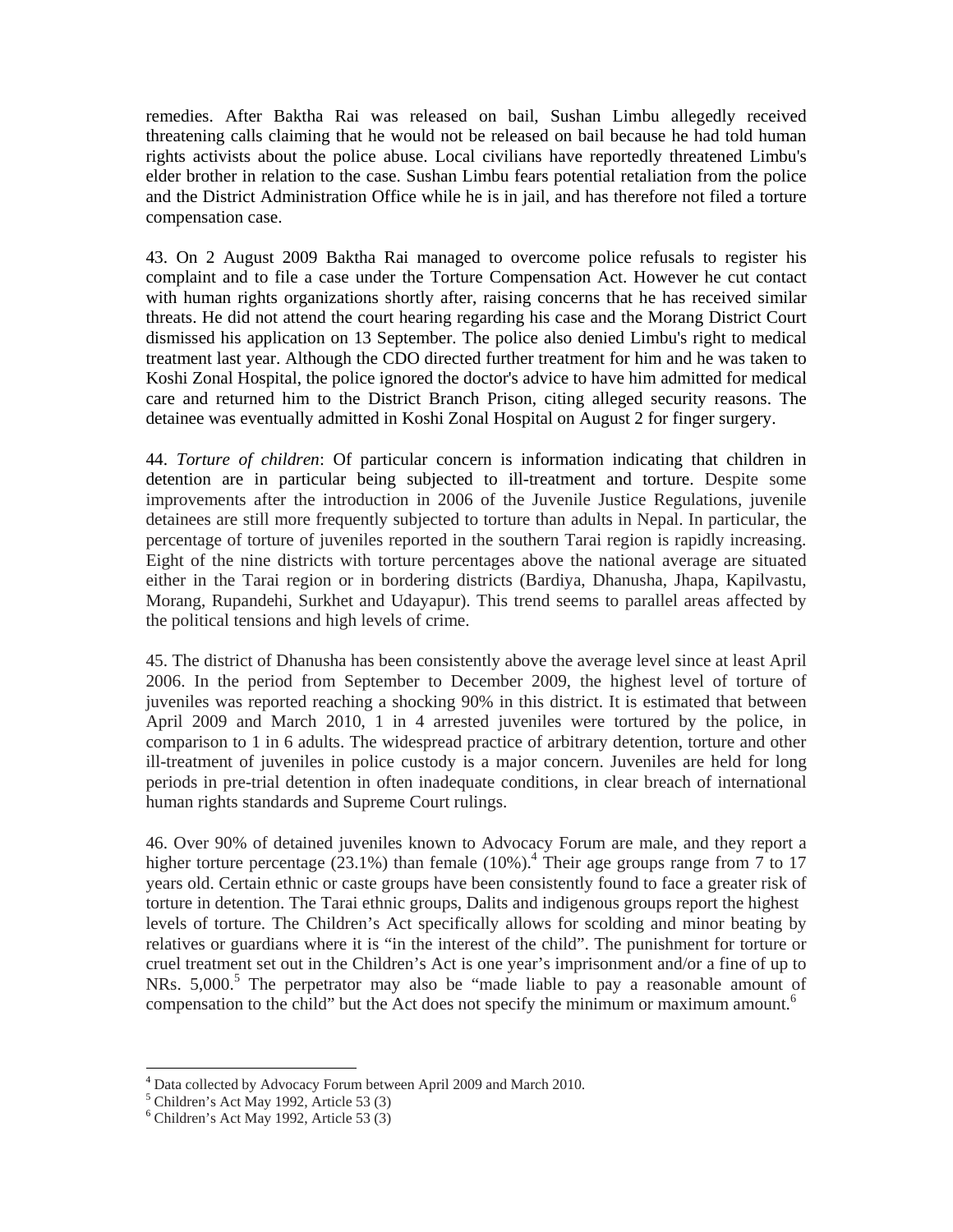remedies. After Baktha Rai was released on bail, Sushan Limbu allegedly received threatening calls claiming that he would not be released on bail because he had told human rights activists about the police abuse. Local civilians have reportedly threatened Limbu's elder brother in relation to the case. Sushan Limbu fears potential retaliation from the police and the District Administration Office while he is in jail, and has therefore not filed a torture compensation case.

43. On 2 August 2009 Baktha Rai managed to overcome police refusals to register his complaint and to file a case under the Torture Compensation Act. However he cut contact with human rights organizations shortly after, raising concerns that he has received similar threats. He did not attend the court hearing regarding his case and the Morang District Court dismissed his application on 13 September. The police also denied Limbu's right to medical treatment last year. Although the CDO directed further treatment for him and he was taken to Koshi Zonal Hospital, the police ignored the doctor's advice to have him admitted for medical care and returned him to the District Branch Prison, citing alleged security reasons. The detainee was eventually admitted in Koshi Zonal Hospital on August 2 for finger surgery.

44. *Torture of children*: Of particular concern is information indicating that children in detention are in particular being subjected to ill-treatment and torture. Despite some improvements after the introduction in 2006 of the Juvenile Justice Regulations, juvenile detainees are still more frequently subjected to torture than adults in Nepal. In particular, the percentage of torture of juveniles reported in the southern Tarai region is rapidly increasing. Eight of the nine districts with torture percentages above the national average are situated either in the Tarai region or in bordering districts (Bardiya, Dhanusha, Jhapa, Kapilvastu, Morang, Rupandehi, Surkhet and Udayapur). This trend seems to parallel areas affected by the political tensions and high levels of crime.

45. The district of Dhanusha has been consistently above the average level since at least April 2006. In the period from September to December 2009, the highest level of torture of juveniles was reported reaching a shocking 90% in this district. It is estimated that between April 2009 and March 2010, 1 in 4 arrested juveniles were tortured by the police, in comparison to 1 in 6 adults. The widespread practice of arbitrary detention, torture and other ill-treatment of juveniles in police custody is a major concern. Juveniles are held for long periods in pre-trial detention in often inadequate conditions, in clear breach of international human rights standards and Supreme Court rulings.

46. Over 90% of detained juveniles known to Advocacy Forum are male, and they report a higher torture percentage  $(23.1\%)$  than female  $(10\%)$ .<sup>4</sup> Their age groups range from 7 to 17 years old. Certain ethnic or caste groups have been consistently found to face a greater risk of torture in detention. The Tarai ethnic groups, Dalits and indigenous groups report the highest levels of torture. The Children's Act specifically allows for scolding and minor beating by relatives or guardians where it is "in the interest of the child". The punishment for torture or cruel treatment set out in the Children's Act is one year's imprisonment and/or a fine of up to NRs. 5,000.<sup>5</sup> The perpetrator may also be "made liable to pay a reasonable amount of compensation to the child" but the Act does not specify the minimum or maximum amount. $<sup>6</sup>$ </sup>

<sup>4</sup> Data collected by Advocacy Forum between April 2009 and March 2010.

<sup>5</sup> Children's Act May 1992, Article 53 (3)

 $6$  Children's Act May 1992, Article 53 (3)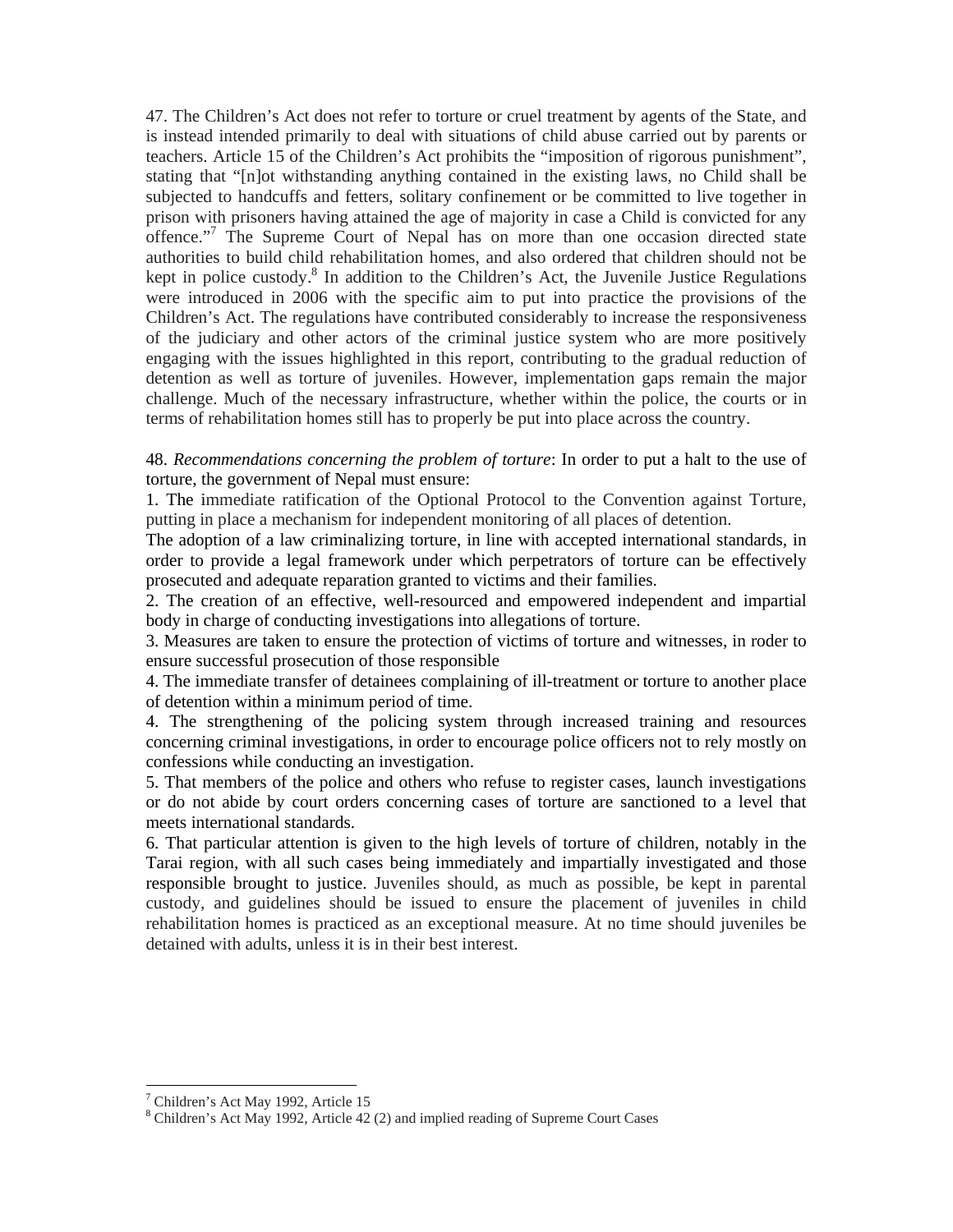47. The Children's Act does not refer to torture or cruel treatment by agents of the State, and is instead intended primarily to deal with situations of child abuse carried out by parents or teachers. Article 15 of the Children's Act prohibits the "imposition of rigorous punishment", stating that "[n]ot withstanding anything contained in the existing laws, no Child shall be subjected to handcuffs and fetters, solitary confinement or be committed to live together in prison with prisoners having attained the age of majority in case a Child is convicted for any offence."<sup>7</sup> The Supreme Court of Nepal has on more than one occasion directed state authorities to build child rehabilitation homes, and also ordered that children should not be kept in police custody.<sup>8</sup> In addition to the Children's Act, the Juvenile Justice Regulations were introduced in 2006 with the specific aim to put into practice the provisions of the Children's Act. The regulations have contributed considerably to increase the responsiveness of the judiciary and other actors of the criminal justice system who are more positively engaging with the issues highlighted in this report, contributing to the gradual reduction of detention as well as torture of juveniles. However, implementation gaps remain the major challenge. Much of the necessary infrastructure, whether within the police, the courts or in terms of rehabilitation homes still has to properly be put into place across the country.

48. *Recommendations concerning the problem of torture*: In order to put a halt to the use of torture, the government of Nepal must ensure:

1. The immediate ratification of the Optional Protocol to the Convention against Torture, putting in place a mechanism for independent monitoring of all places of detention.

The adoption of a law criminalizing torture, in line with accepted international standards, in order to provide a legal framework under which perpetrators of torture can be effectively prosecuted and adequate reparation granted to victims and their families.

2. The creation of an effective, well-resourced and empowered independent and impartial body in charge of conducting investigations into allegations of torture.

3. Measures are taken to ensure the protection of victims of torture and witnesses, in roder to ensure successful prosecution of those responsible

4. The immediate transfer of detainees complaining of ill-treatment or torture to another place of detention within a minimum period of time.

4. The strengthening of the policing system through increased training and resources concerning criminal investigations, in order to encourage police officers not to rely mostly on confessions while conducting an investigation.

5. That members of the police and others who refuse to register cases, launch investigations or do not abide by court orders concerning cases of torture are sanctioned to a level that meets international standards.

6. That particular attention is given to the high levels of torture of children, notably in the Tarai region, with all such cases being immediately and impartially investigated and those responsible brought to justice. Juveniles should, as much as possible, be kept in parental custody, and guidelines should be issued to ensure the placement of juveniles in child rehabilitation homes is practiced as an exceptional measure. At no time should juveniles be detained with adults, unless it is in their best interest.

 <sup>7</sup> Children's Act May 1992, Article 15

<sup>8</sup> Children's Act May 1992, Article 42 (2) and implied reading of Supreme Court Cases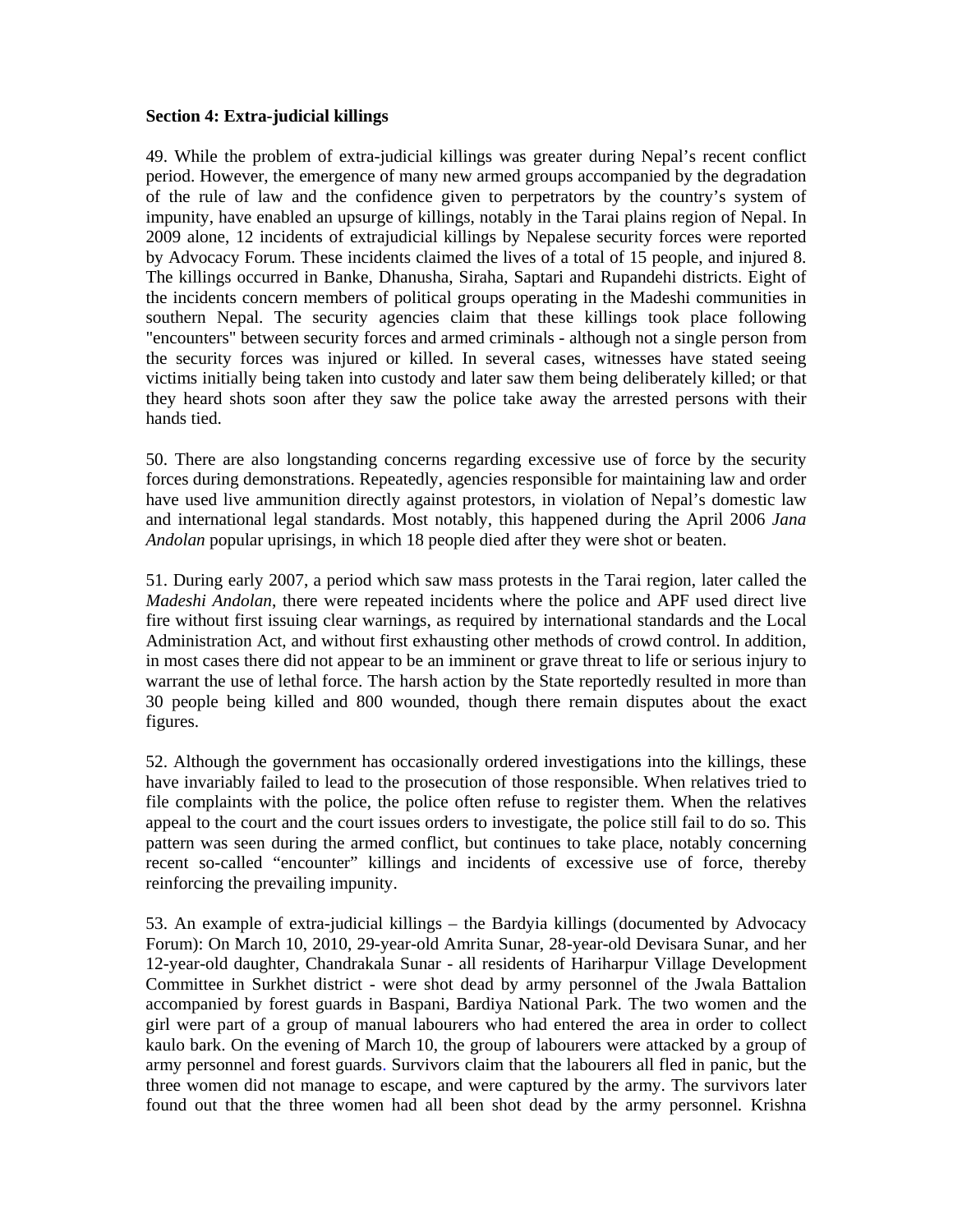## **Section 4: Extra-judicial killings**

49. While the problem of extra-judicial killings was greater during Nepal's recent conflict period. However, the emergence of many new armed groups accompanied by the degradation of the rule of law and the confidence given to perpetrators by the country's system of impunity, have enabled an upsurge of killings, notably in the Tarai plains region of Nepal. In 2009 alone, 12 incidents of extrajudicial killings by Nepalese security forces were reported by Advocacy Forum. These incidents claimed the lives of a total of 15 people, and injured 8. The killings occurred in Banke, Dhanusha, Siraha, Saptari and Rupandehi districts. Eight of the incidents concern members of political groups operating in the Madeshi communities in southern Nepal. The security agencies claim that these killings took place following "encounters" between security forces and armed criminals - although not a single person from the security forces was injured or killed. In several cases, witnesses have stated seeing victims initially being taken into custody and later saw them being deliberately killed; or that they heard shots soon after they saw the police take away the arrested persons with their hands tied.

50. There are also longstanding concerns regarding excessive use of force by the security forces during demonstrations. Repeatedly, agencies responsible for maintaining law and order have used live ammunition directly against protestors, in violation of Nepal's domestic law and international legal standards. Most notably, this happened during the April 2006 *Jana Andolan* popular uprisings, in which 18 people died after they were shot or beaten.

51. During early 2007, a period which saw mass protests in the Tarai region, later called the *Madeshi Andolan*, there were repeated incidents where the police and APF used direct live fire without first issuing clear warnings, as required by international standards and the Local Administration Act, and without first exhausting other methods of crowd control. In addition, in most cases there did not appear to be an imminent or grave threat to life or serious injury to warrant the use of lethal force. The harsh action by the State reportedly resulted in more than 30 people being killed and 800 wounded, though there remain disputes about the exact figures.

52. Although the government has occasionally ordered investigations into the killings, these have invariably failed to lead to the prosecution of those responsible. When relatives tried to file complaints with the police, the police often refuse to register them. When the relatives appeal to the court and the court issues orders to investigate, the police still fail to do so. This pattern was seen during the armed conflict, but continues to take place, notably concerning recent so-called "encounter" killings and incidents of excessive use of force, thereby reinforcing the prevailing impunity.

53. An example of extra-judicial killings – the Bardyia killings (documented by Advocacy Forum): On March 10, 2010, 29-year-old Amrita Sunar, 28-year-old Devisara Sunar, and her 12-year-old daughter, Chandrakala Sunar - all residents of Hariharpur Village Development Committee in Surkhet district - were shot dead by army personnel of the Jwala Battalion accompanied by forest guards in Baspani, Bardiya National Park. The two women and the girl were part of a group of manual labourers who had entered the area in order to collect kaulo bark. On the evening of March 10, the group of labourers were attacked by a group of army personnel and forest guards. Survivors claim that the labourers all fled in panic, but the three women did not manage to escape, and were captured by the army. The survivors later found out that the three women had all been shot dead by the army personnel. Krishna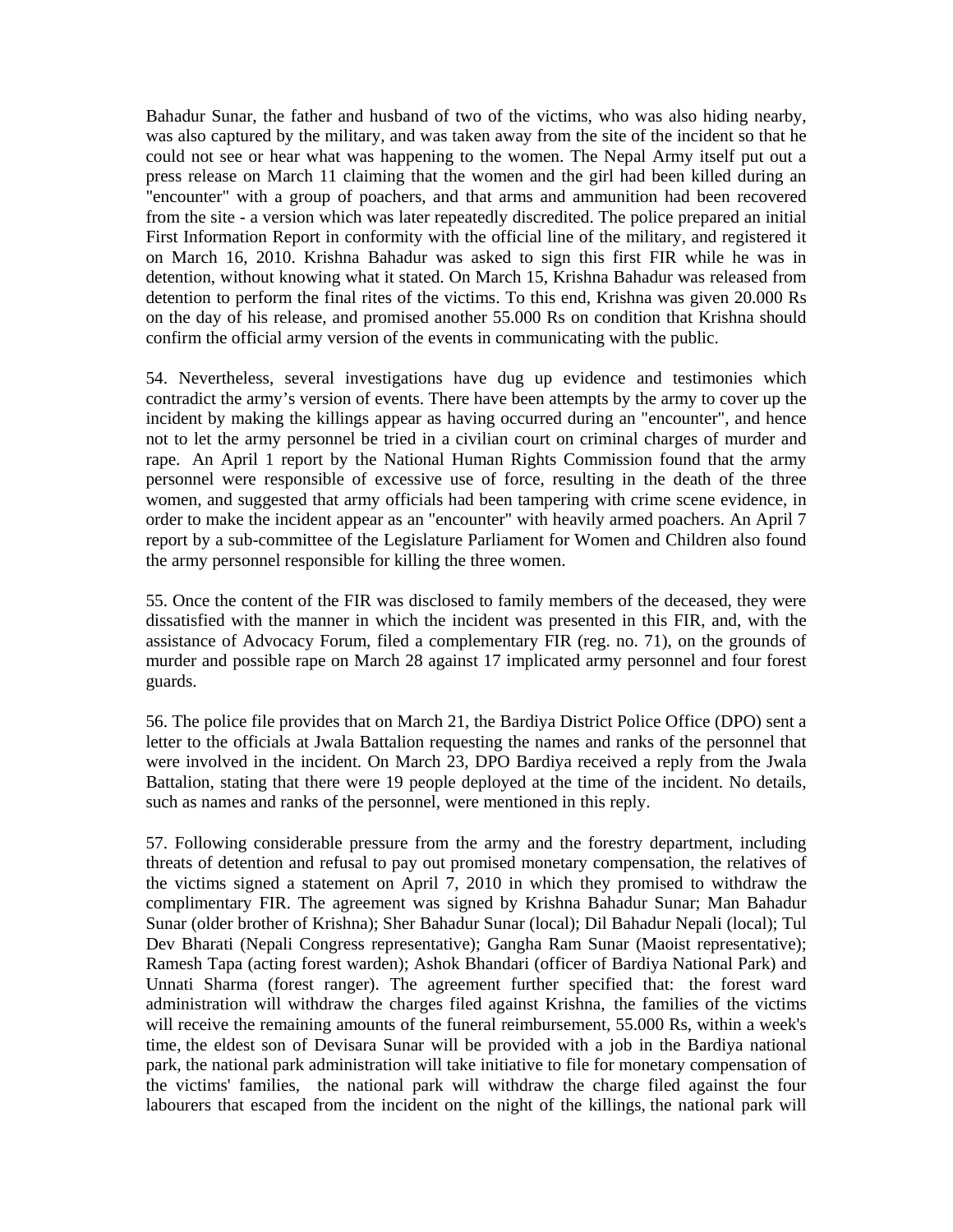Bahadur Sunar, the father and husband of two of the victims, who was also hiding nearby, was also captured by the military, and was taken away from the site of the incident so that he could not see or hear what was happening to the women. The Nepal Army itself put out a press release on March 11 claiming that the women and the girl had been killed during an "encounter" with a group of poachers, and that arms and ammunition had been recovered from the site - a version which was later repeatedly discredited. The police prepared an initial First Information Report in conformity with the official line of the military, and registered it on March 16, 2010. Krishna Bahadur was asked to sign this first FIR while he was in detention, without knowing what it stated. On March 15, Krishna Bahadur was released from detention to perform the final rites of the victims. To this end, Krishna was given 20.000 Rs on the day of his release, and promised another 55.000 Rs on condition that Krishna should confirm the official army version of the events in communicating with the public.

54. Nevertheless, several investigations have dug up evidence and testimonies which contradict the army's version of events. There have been attempts by the army to cover up the incident by making the killings appear as having occurred during an "encounter", and hence not to let the army personnel be tried in a civilian court on criminal charges of murder and rape. An April 1 report by the National Human Rights Commission found that the army personnel were responsible of excessive use of force, resulting in the death of the three women, and suggested that army officials had been tampering with crime scene evidence, in order to make the incident appear as an "encounter" with heavily armed poachers. An April 7 report by a sub-committee of the Legislature Parliament for Women and Children also found the army personnel responsible for killing the three women.

55. Once the content of the FIR was disclosed to family members of the deceased, they were dissatisfied with the manner in which the incident was presented in this FIR, and, with the assistance of Advocacy Forum, filed a complementary FIR (reg. no. 71), on the grounds of murder and possible rape on March 28 against 17 implicated army personnel and four forest guards.

56. The police file provides that on March 21, the Bardiya District Police Office (DPO) sent a letter to the officials at Jwala Battalion requesting the names and ranks of the personnel that were involved in the incident. On March 23, DPO Bardiya received a reply from the Jwala Battalion, stating that there were 19 people deployed at the time of the incident. No details, such as names and ranks of the personnel, were mentioned in this reply.

57. Following considerable pressure from the army and the forestry department, including threats of detention and refusal to pay out promised monetary compensation, the relatives of the victims signed a statement on April 7, 2010 in which they promised to withdraw the complimentary FIR. The agreement was signed by Krishna Bahadur Sunar; Man Bahadur Sunar (older brother of Krishna); Sher Bahadur Sunar (local); Dil Bahadur Nepali (local); Tul Dev Bharati (Nepali Congress representative); Gangha Ram Sunar (Maoist representative); Ramesh Tapa (acting forest warden); Ashok Bhandari (officer of Bardiya National Park) and Unnati Sharma (forest ranger). The agreement further specified that: the forest ward administration will withdraw the charges filed against Krishna, the families of the victims will receive the remaining amounts of the funeral reimbursement, 55.000 Rs, within a week's time, the eldest son of Devisara Sunar will be provided with a job in the Bardiya national park, the national park administration will take initiative to file for monetary compensation of the victims' families, the national park will withdraw the charge filed against the four labourers that escaped from the incident on the night of the killings, the national park will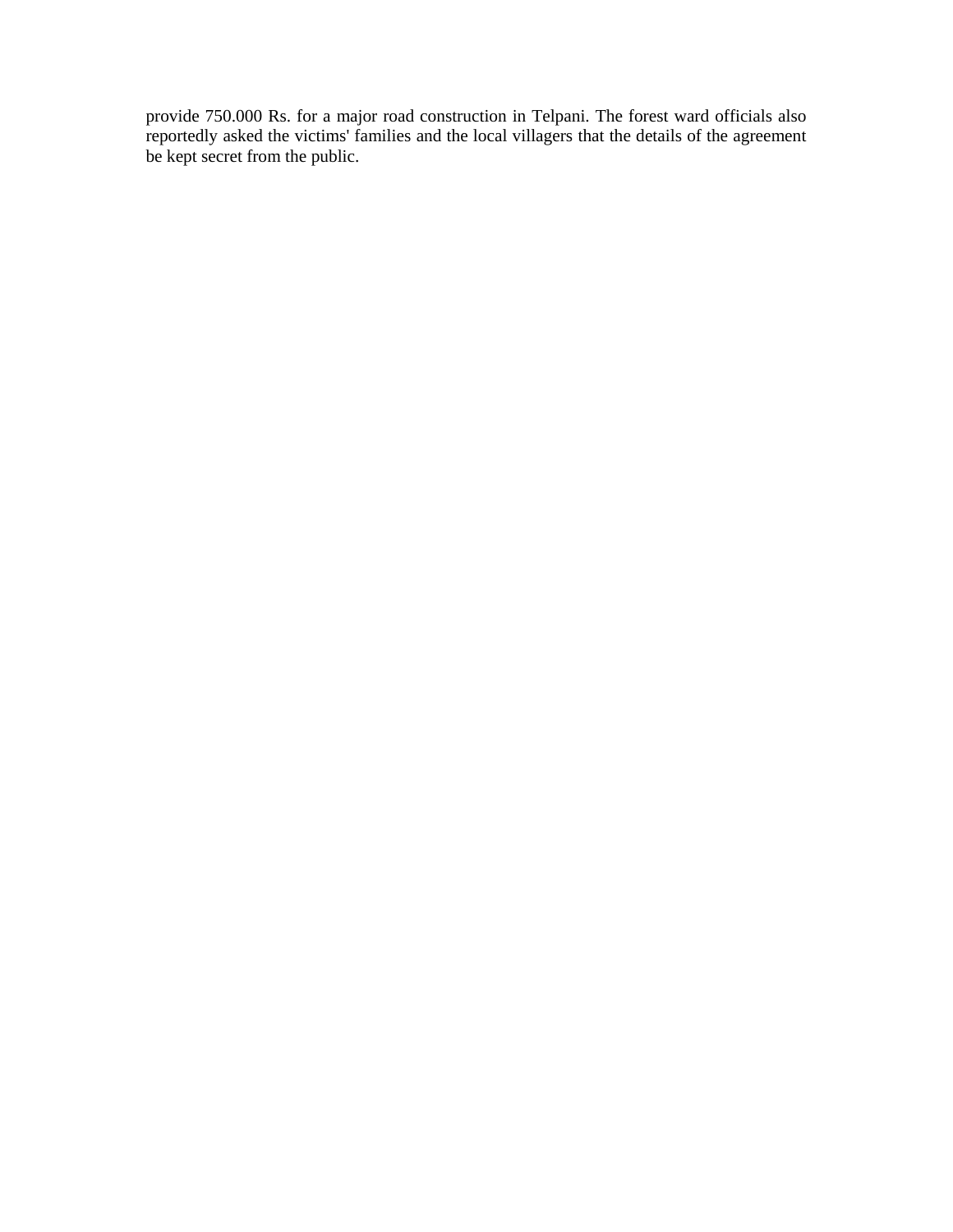provide 750.000 Rs. for a major road construction in Telpani. The forest ward officials also reportedly asked the victims' families and the local villagers that the details of the agreement be kept secret from the public.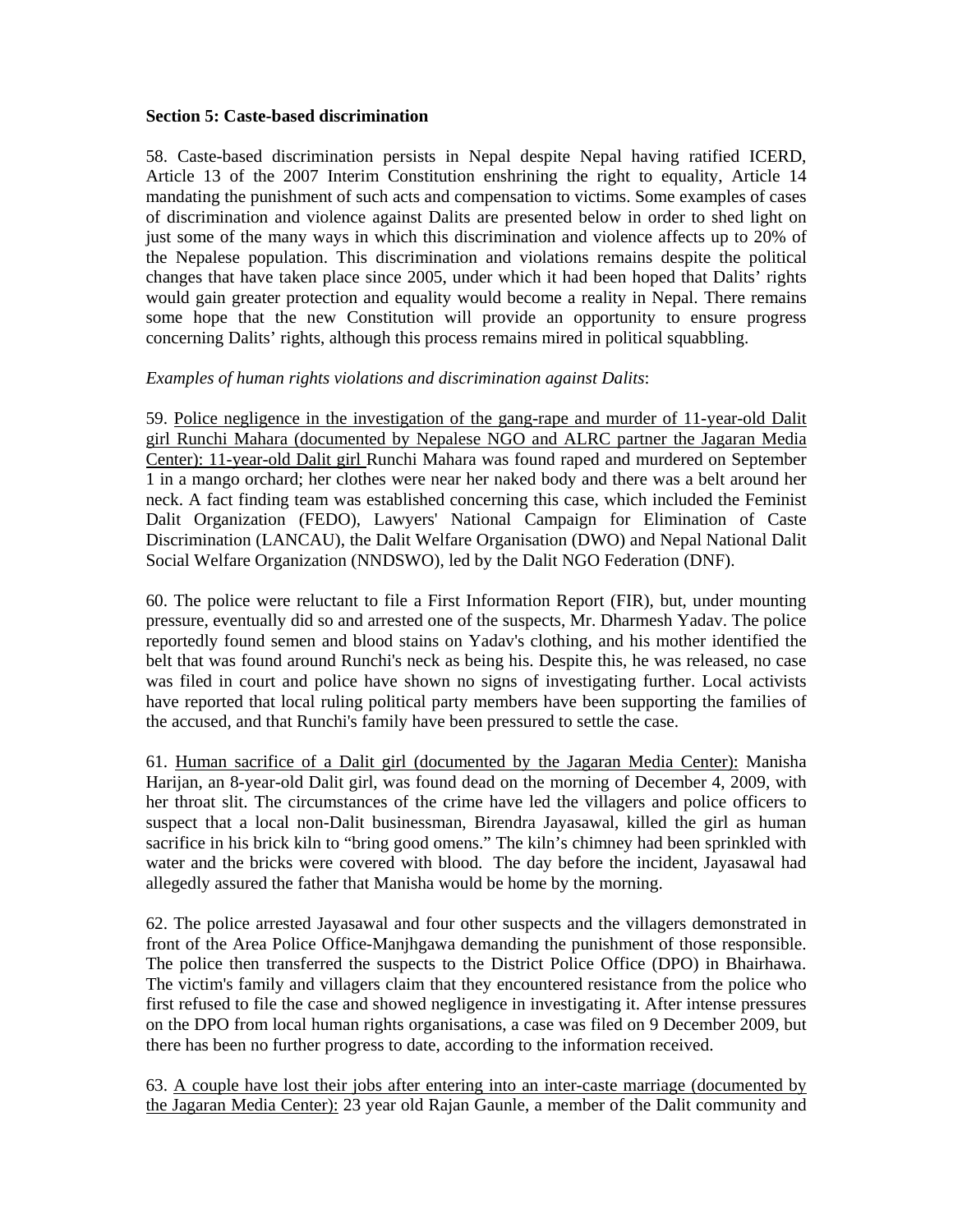## **Section 5: Caste-based discrimination**

58. Caste-based discrimination persists in Nepal despite Nepal having ratified ICERD, Article 13 of the 2007 Interim Constitution enshrining the right to equality, Article 14 mandating the punishment of such acts and compensation to victims. Some examples of cases of discrimination and violence against Dalits are presented below in order to shed light on just some of the many ways in which this discrimination and violence affects up to 20% of the Nepalese population. This discrimination and violations remains despite the political changes that have taken place since 2005, under which it had been hoped that Dalits' rights would gain greater protection and equality would become a reality in Nepal. There remains some hope that the new Constitution will provide an opportunity to ensure progress concerning Dalits' rights, although this process remains mired in political squabbling.

# *Examples of human rights violations and discrimination against Dalits*:

59. Police negligence in the investigation of the gang-rape and murder of 11-year-old Dalit girl Runchi Mahara (documented by Nepalese NGO and ALRC partner the Jagaran Media Center): 11-year-old Dalit girl Runchi Mahara was found raped and murdered on September 1 in a mango orchard; her clothes were near her naked body and there was a belt around her neck. A fact finding team was established concerning this case, which included the Feminist Dalit Organization (FEDO), Lawyers' National Campaign for Elimination of Caste Discrimination (LANCAU), the Dalit Welfare Organisation (DWO) and Nepal National Dalit Social Welfare Organization (NNDSWO), led by the Dalit NGO Federation (DNF).

60. The police were reluctant to file a First Information Report (FIR), but, under mounting pressure, eventually did so and arrested one of the suspects, Mr. Dharmesh Yadav. The police reportedly found semen and blood stains on Yadav's clothing, and his mother identified the belt that was found around Runchi's neck as being his. Despite this, he was released, no case was filed in court and police have shown no signs of investigating further. Local activists have reported that local ruling political party members have been supporting the families of the accused, and that Runchi's family have been pressured to settle the case.

61. Human sacrifice of a Dalit girl (documented by the Jagaran Media Center): Manisha Harijan, an 8-year-old Dalit girl, was found dead on the morning of December 4, 2009, with her throat slit. The circumstances of the crime have led the villagers and police officers to suspect that a local non-Dalit businessman, Birendra Jayasawal, killed the girl as human sacrifice in his brick kiln to "bring good omens." The kiln's chimney had been sprinkled with water and the bricks were covered with blood. The day before the incident, Jayasawal had allegedly assured the father that Manisha would be home by the morning.

62. The police arrested Jayasawal and four other suspects and the villagers demonstrated in front of the Area Police Office-Manjhgawa demanding the punishment of those responsible. The police then transferred the suspects to the District Police Office (DPO) in Bhairhawa. The victim's family and villagers claim that they encountered resistance from the police who first refused to file the case and showed negligence in investigating it. After intense pressures on the DPO from local human rights organisations, a case was filed on 9 December 2009, but there has been no further progress to date, according to the information received.

63. A couple have lost their jobs after entering into an inter-caste marriage (documented by the Jagaran Media Center): 23 year old Rajan Gaunle, a member of the Dalit community and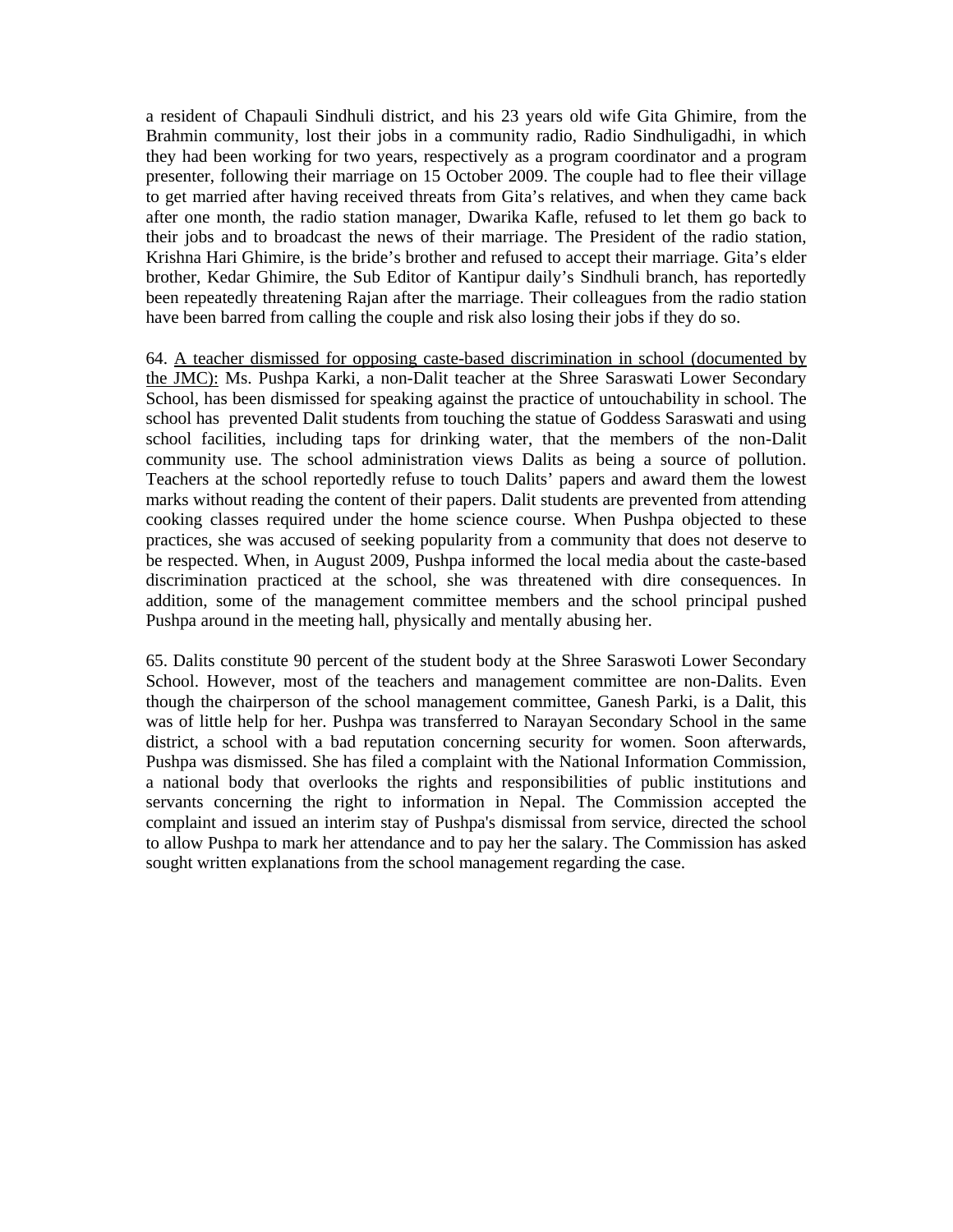a resident of Chapauli Sindhuli district, and his 23 years old wife Gita Ghimire, from the Brahmin community, lost their jobs in a community radio, Radio Sindhuligadhi, in which they had been working for two years, respectively as a program coordinator and a program presenter, following their marriage on 15 October 2009. The couple had to flee their village to get married after having received threats from Gita's relatives, and when they came back after one month, the radio station manager, Dwarika Kafle, refused to let them go back to their jobs and to broadcast the news of their marriage. The President of the radio station, Krishna Hari Ghimire, is the bride's brother and refused to accept their marriage. Gita's elder brother, Kedar Ghimire, the Sub Editor of Kantipur daily's Sindhuli branch, has reportedly been repeatedly threatening Rajan after the marriage. Their colleagues from the radio station have been barred from calling the couple and risk also losing their jobs if they do so.

64. A teacher dismissed for opposing caste-based discrimination in school (documented by the JMC): Ms. Pushpa Karki, a non-Dalit teacher at the Shree Saraswati Lower Secondary School, has been dismissed for speaking against the practice of untouchability in school. The school has prevented Dalit students from touching the statue of Goddess Saraswati and using school facilities, including taps for drinking water, that the members of the non-Dalit community use. The school administration views Dalits as being a source of pollution. Teachers at the school reportedly refuse to touch Dalits' papers and award them the lowest marks without reading the content of their papers. Dalit students are prevented from attending cooking classes required under the home science course. When Pushpa objected to these practices, she was accused of seeking popularity from a community that does not deserve to be respected. When, in August 2009, Pushpa informed the local media about the caste-based discrimination practiced at the school, she was threatened with dire consequences. In addition, some of the management committee members and the school principal pushed Pushpa around in the meeting hall, physically and mentally abusing her.

65. Dalits constitute 90 percent of the student body at the Shree Saraswoti Lower Secondary School. However, most of the teachers and management committee are non-Dalits. Even though the chairperson of the school management committee, Ganesh Parki, is a Dalit, this was of little help for her. Pushpa was transferred to Narayan Secondary School in the same district, a school with a bad reputation concerning security for women. Soon afterwards, Pushpa was dismissed. She has filed a complaint with the National Information Commission, a national body that overlooks the rights and responsibilities of public institutions and servants concerning the right to information in Nepal. The Commission accepted the complaint and issued an interim stay of Pushpa's dismissal from service, directed the school to allow Pushpa to mark her attendance and to pay her the salary. The Commission has asked sought written explanations from the school management regarding the case.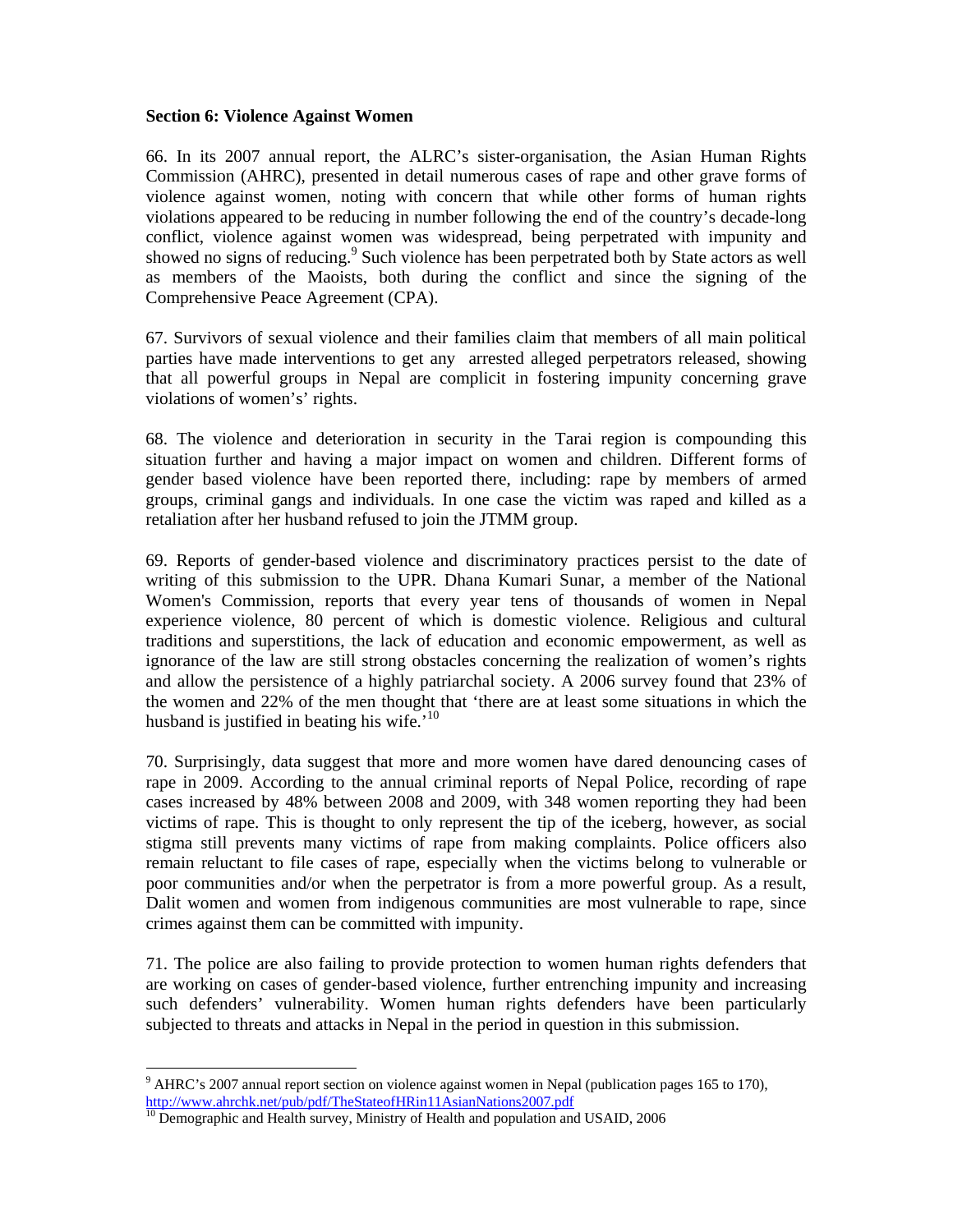#### **Section 6: Violence Against Women**

66. In its 2007 annual report, the ALRC's sister-organisation, the Asian Human Rights Commission (AHRC), presented in detail numerous cases of rape and other grave forms of violence against women, noting with concern that while other forms of human rights violations appeared to be reducing in number following the end of the country's decade-long conflict, violence against women was widespread, being perpetrated with impunity and showed no signs of reducing.<sup>9</sup> Such violence has been perpetrated both by State actors as well as members of the Maoists, both during the conflict and since the signing of the Comprehensive Peace Agreement (CPA).

67. Survivors of sexual violence and their families claim that members of all main political parties have made interventions to get any arrested alleged perpetrators released, showing that all powerful groups in Nepal are complicit in fostering impunity concerning grave violations of women's' rights.

68. The violence and deterioration in security in the Tarai region is compounding this situation further and having a major impact on women and children. Different forms of gender based violence have been reported there, including: rape by members of armed groups, criminal gangs and individuals. In one case the victim was raped and killed as a retaliation after her husband refused to join the JTMM group.

69. Reports of gender-based violence and discriminatory practices persist to the date of writing of this submission to the UPR. Dhana Kumari Sunar, a member of the National Women's Commission, reports that every year tens of thousands of women in Nepal experience violence, 80 percent of which is domestic violence. Religious and cultural traditions and superstitions, the lack of education and economic empowerment, as well as ignorance of the law are still strong obstacles concerning the realization of women's rights and allow the persistence of a highly patriarchal society. A 2006 survey found that 23% of the women and 22% of the men thought that 'there are at least some situations in which the husband is justified in beating his wife.<sup> $10$ </sup>

70. Surprisingly, data suggest that more and more women have dared denouncing cases of rape in 2009. According to the annual criminal reports of Nepal Police, recording of rape cases increased by 48% between 2008 and 2009, with 348 women reporting they had been victims of rape. This is thought to only represent the tip of the iceberg, however, as social stigma still prevents many victims of rape from making complaints. Police officers also remain reluctant to file cases of rape, especially when the victims belong to vulnerable or poor communities and/or when the perpetrator is from a more powerful group. As a result, Dalit women and women from indigenous communities are most vulnerable to rape, since crimes against them can be committed with impunity.

71. The police are also failing to provide protection to women human rights defenders that are working on cases of gender-based violence, further entrenching impunity and increasing such defenders' vulnerability. Women human rights defenders have been particularly subjected to threats and attacks in Nepal in the period in question in this submission.

<sup>&</sup>lt;sup>9</sup> AHRC's 2007 annual report section on violence against women in Nepal (publication pages 165 to 170), http://www.ahrchk.net/pub/pdf/TheStateofHRin11AsianNations2007.pdf<br><sup>10</sup> Demographic and Health survey, Ministry of Health and population and USAID, 2006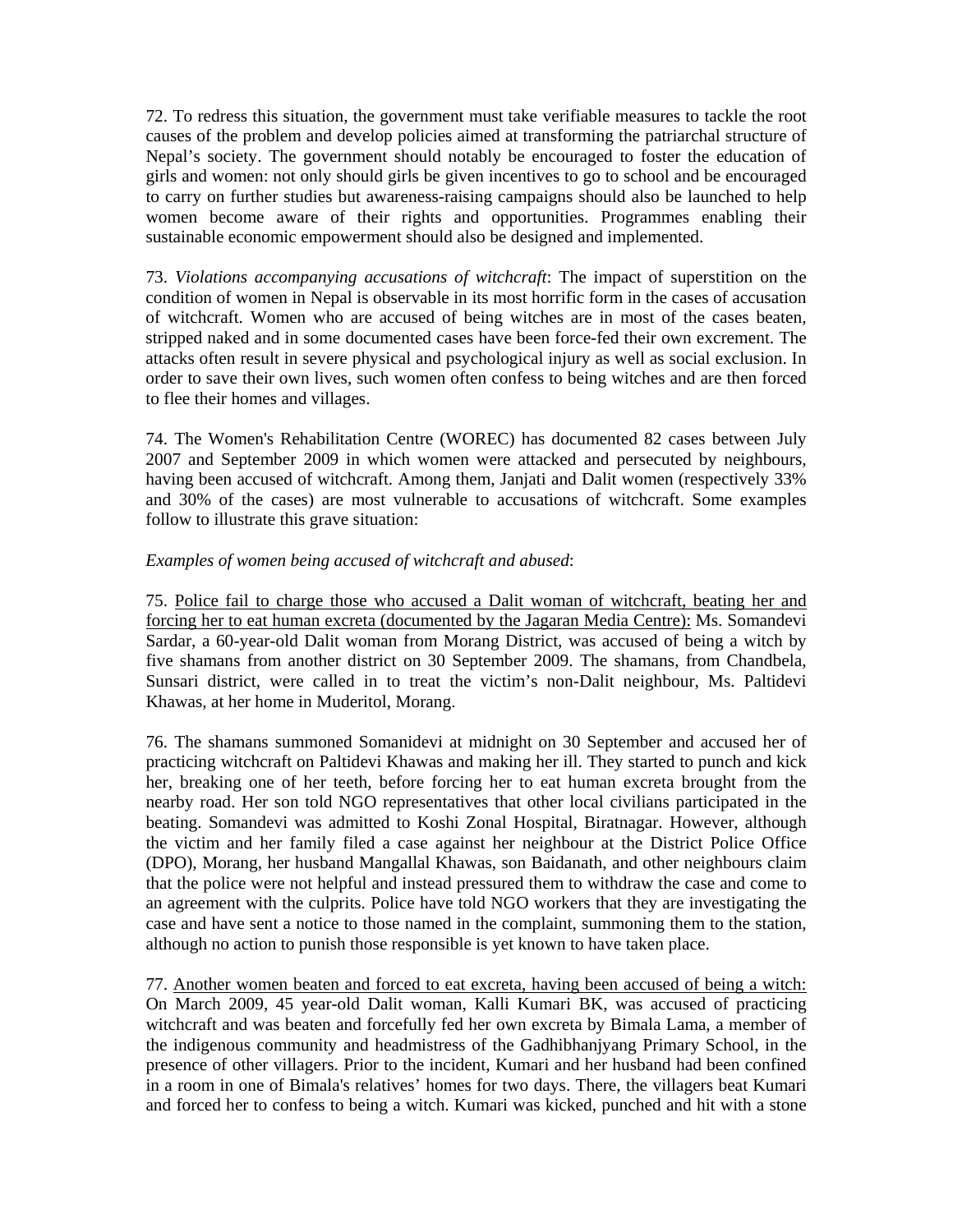72. To redress this situation, the government must take verifiable measures to tackle the root causes of the problem and develop policies aimed at transforming the patriarchal structure of Nepal's society. The government should notably be encouraged to foster the education of girls and women: not only should girls be given incentives to go to school and be encouraged to carry on further studies but awareness-raising campaigns should also be launched to help women become aware of their rights and opportunities. Programmes enabling their sustainable economic empowerment should also be designed and implemented.

73. *Violations accompanying accusations of witchcraft*: The impact of superstition on the condition of women in Nepal is observable in its most horrific form in the cases of accusation of witchcraft. Women who are accused of being witches are in most of the cases beaten, stripped naked and in some documented cases have been force-fed their own excrement. The attacks often result in severe physical and psychological injury as well as social exclusion. In order to save their own lives, such women often confess to being witches and are then forced to flee their homes and villages.

74. The Women's Rehabilitation Centre (WOREC) has documented 82 cases between July 2007 and September 2009 in which women were attacked and persecuted by neighbours, having been accused of witchcraft. Among them, Janjati and Dalit women (respectively 33% and 30% of the cases) are most vulnerable to accusations of witchcraft. Some examples follow to illustrate this grave situation:

# *Examples of women being accused of witchcraft and abused*:

75. Police fail to charge those who accused a Dalit woman of witchcraft, beating her and forcing her to eat human excreta (documented by the Jagaran Media Centre): Ms. Somandevi Sardar, a 60-year-old Dalit woman from Morang District, was accused of being a witch by five shamans from another district on 30 September 2009. The shamans, from Chandbela, Sunsari district, were called in to treat the victim's non-Dalit neighbour, Ms. Paltidevi Khawas, at her home in Muderitol, Morang.

76. The shamans summoned Somanidevi at midnight on 30 September and accused her of practicing witchcraft on Paltidevi Khawas and making her ill. They started to punch and kick her, breaking one of her teeth, before forcing her to eat human excreta brought from the nearby road. Her son told NGO representatives that other local civilians participated in the beating. Somandevi was admitted to Koshi Zonal Hospital, Biratnagar. However, although the victim and her family filed a case against her neighbour at the District Police Office (DPO), Morang, her husband Mangallal Khawas, son Baidanath, and other neighbours claim that the police were not helpful and instead pressured them to withdraw the case and come to an agreement with the culprits. Police have told NGO workers that they are investigating the case and have sent a notice to those named in the complaint, summoning them to the station, although no action to punish those responsible is yet known to have taken place.

77. Another women beaten and forced to eat excreta, having been accused of being a witch: On March 2009, 45 year-old Dalit woman, Kalli Kumari BK, was accused of practicing witchcraft and was beaten and forcefully fed her own excreta by Bimala Lama, a member of the indigenous community and headmistress of the Gadhibhanjyang Primary School, in the presence of other villagers. Prior to the incident, Kumari and her husband had been confined in a room in one of Bimala's relatives' homes for two days. There, the villagers beat Kumari and forced her to confess to being a witch. Kumari was kicked, punched and hit with a stone